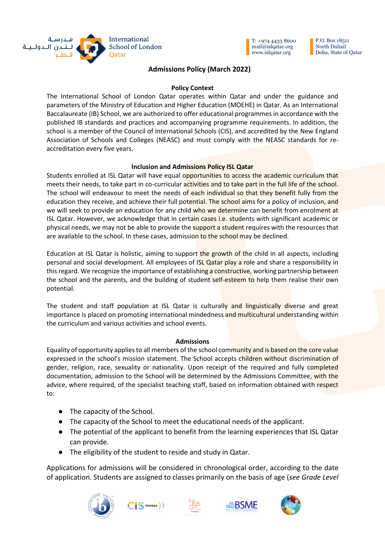



P.O. Box 18511 North Duhail Doha, State of Qatar

# **Admissions Policy (March 2022)**

## **Policy Context**

The International School of London Qatar operates within Qatar and under the guidance and parameters of the Ministry of Education and Higher Education (MOEHE) in Qatar. As an International Baccalaureate (IB) School, we are authorized to offer educational programmes in accordance with the published IB standards and practices and accompanying programme requirements. In addition, the school is a member of the Council of International Schools (CIS), and accredited by the New England Association of Schools and Colleges (NEASC) and must comply with the NEASC standards for reaccreditation every five years.

## **Inclusion and Admissions Policy ISL Qatar**

Students enrolled at ISL Qatar will have equal opportunities to access the academic curriculum that meets their needs, to take part in co-curricular activities and to take part in the full life of the school. The school will endeavour to meet the needs of each individual so that they benefit fully from the education they receive, and achieve their full potential. The school aims for a policy of inclusion, and we will seek to provide an education for any child who we determine can benefit from enrolment at ISL Qatar. However, we acknowledge that in certain cases i.e. students with significant academic or physical needs, we may not be able to provide the support a student requires with the resources that are available to the school. In these cases, admission to the school may be declined.

Education at ISL Qatar is holistic, aiming to support the growth of the child in all aspects, including personal and social development. All employees of ISL Qatar play a role and share a responsibility in this regard. We recognize the importance of establishing a constructive, working partnership between the school and the parents, and the building of student self-esteem to help them realise their own potential.

The student and staff population at ISL Qatar is culturally and linguistically diverse and great importance is placed on promoting international mindedness and multicultural understanding within the curriculum and various activities and school events.

# **Admissions**

Equality of opportunity applies to all members of the school community and is based on the core value expressed in the school's mission statement. The School accepts children without discrimination of gender, religion, race, sexuality or nationality. Upon receipt of the required and fully completed documentation, admission to the School will be determined by the Admissions Committee, with the advice, where required, of the specialist teaching staff, based on information obtained with respect to:

- The capacity of the School.
- The capacity of the School to meet the educational needs of the applicant.
- The potential of the applicant to benefit from the learning experiences that ISL Qatar can provide.
- The eligibility of the student to reside and study in Qatar.

Applications for admissions will be considered in chronological order, according to the date of application. Students are assigned to classes primarily on the basis of age (*see Grade Level* 







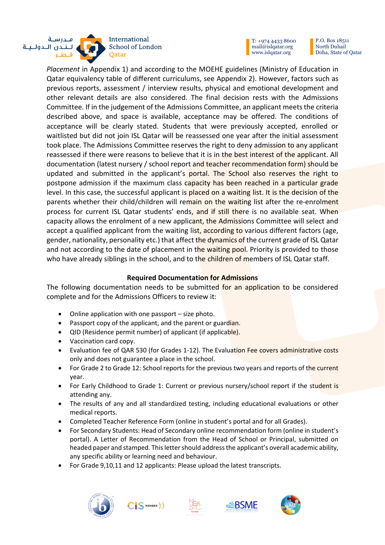

P.O. Box 18511 North Duhail Doha, State of Qatar

*Placement* in Appendix 1) and according to the MOEHE guidelines (Ministry of Education in Qatar equivalency table of different curriculums, see Appendix 2). However, factors such as previous reports, assessment / interview results, physical and emotional development and other relevant details are also considered. The final decision rests with the Admissions Committee. If in the judgement of the Admissions Committee, an applicant meets the criteria described above, and space is available, acceptance may be offered. The conditions of acceptance will be clearly stated. Students that were previously accepted, enrolled or waitlisted but did not join ISL Qatar will be reassessed one year after the initial assessment took place. The Admissions Committee reserves the right to deny admission to any applicant reassessed if there were reasons to believe that it is in the best interest of the applicant. All documentation (latest nursery / school report and teacher recommendation form) should be updated and submitted in the applicant's portal. The School also reserves the right to postpone admission if the maximum class capacity has been reached in a particular grade level. In this case, the successful applicant is placed on a waiting list. It is the decision of the parents whether their child/children will remain on the waiting list after the re-enrolment process for current ISL Qatar students' ends, and if still there is no available seat. When capacity allows the enrolment of a new applicant, the Admissions Committee will select and accept a qualified applicant from the waiting list, according to various different factors (age, gender, nationality, personality etc.) that affect the dynamics of the current grade of ISL Qatar and not according to the date of placement in the waiting pool. Priority is provided to those who have already siblings in the school, and to the children of members of ISL Qatar staff.

# **Required Documentation for Admissions**

The following documentation needs to be submitted for an application to be considered complete and for the Admissions Officers to review it:

- Online application with one passport size photo.
- Passport copy of the applicant, and the parent or guardian.
- QID (Residence permit number) of applicant (if applicable).
- Vaccination card copy.
- Evaluation fee of QAR 530 (for Grades 1-12). The Evaluation Fee covers administrative costs only and does not guarantee a place in the school.
- For Grade 2 to Grade 12: School reports for the previous two years and reports of the current year.
- For Early Childhood to Grade 1: Current or previous nursery/school report if the student is attending any.
- The results of any and all standardized testing, including educational evaluations or other medical reports.
- Completed Teacher Reference Form (online in student's portal and for all Grades).
- For Secondary Students: Head of Secondary online recommendation form (online in student's portal). A Letter of Recommendation from the Head of School or Principal, submitted on headed paper and stamped. This letter should address the applicant's overall academic ability, any specific ability or learning need and behaviour.
- For Grade 9,10,11 and 12 applicants: Please upload the latest transcripts.







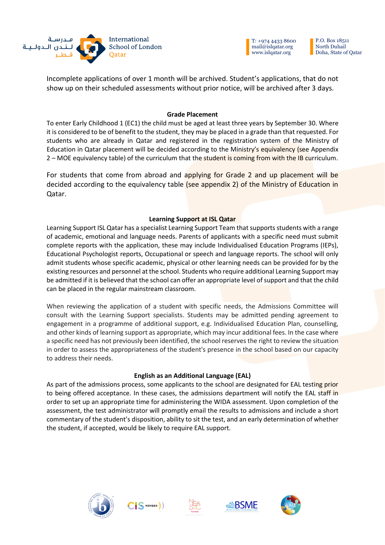

P.O. Box 18511 North Duhail Doha, State of Qatar

Incomplete applications of over 1 month will be archived. Student's applications, that do not show up on their scheduled assessments without prior notice, will be archived after 3 days.

## **Grade Placement**

To enter Early Childhood 1 (EC1) the child must be aged at least three years by September 30. Where it is considered to be of benefit to the student, they may be placed in a grade than that requested. For students who are already in Qatar and registered in the registration system of the Ministry of Education in Qatar placement will be decided according to the Ministry's equivalency (see Appendix 2 – MOE equivalency table) of the curriculum that the student is coming from with the IB curriculum.

For students that come from abroad and applying for Grade 2 and up placement will be decided according to the equivalency table (see appendix 2) of the Ministry of Education in Qatar.

# **Learning Support at ISL Qatar**

Learning Support ISL Qatar has a specialist Learning Support Team that supports students with a range of academic, emotional and language needs. Parents of applicants with a specific need must submit complete reports with the application, these may include Individualised Education Programs (IEPs), Educational Psychologist reports, Occupational or speech and language reports. The school will only admit students whose specific academic, physical or other learning needs can be provided for by the existing resources and personnel at the school. Students who require additional Learning Support may be admitted if it is believed that the school can offer an appropriate level of support and that the child can be placed in the regular mainstream classroom.

When reviewing the application of a student with specific needs, the Admissions Committee will consult with the Learning Support specialists. Students may be admitted pending agreement to engagement in a programme of additional support, e.g. Individualised Education Plan, counselling, and other kinds of learning support as appropriate, which may incur additional fees. In the case where a specific need has not previously been identified, the school reserves the right to review the situation in order to assess the appropriateness of the student's presence in the school based on our capacity to address their needs.

## **English as an Additional Language (EAL)**

As part of the admissions process, some applicants to the school are designated for EAL testing prior to being offered acceptance. In these cases, the admissions department will notify the EAL staff in order to set up an appropriate time for administering the WIDA assessment. Upon completion of the assessment, the test administrator will promptly email the results to admissions and include a short commentary of the student's disposition, ability to sit the test, and an early determination of whether the student, if accepted, would be likely to require EAL support.







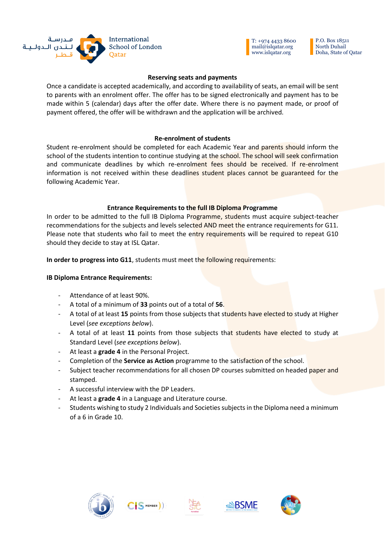

P.O. Box 18511 North Duhail Doha, State of Qatar

### **Reserving seats and payments**

Once a candidate is accepted academically, and according to availability of seats, an email will be sent to parents with an enrolment offer. The offer has to be signed electronically and payment has to be made within 5 (calendar) days after the offer date. Where there is no payment made, or proof of payment offered, the offer will be withdrawn and the application will be archived.

### **Re-enrolment of students**

Student re-enrolment should be completed for each Academic Year and parents should inform the school of the students intention to continue studying at the school. The school will seek confirmation and communicate deadlines by which re-enrolment fees should be received. If re-enrolment information is not received within these deadlines student places cannot be guaranteed for the following Academic Year.

## **Entrance Requirements to the full IB Diploma Programme**

In order to be admitted to the full IB Diploma Programme, students must acquire subject-teacher recommendations for the subjects and levels selected AND meet the entrance requirements for G11. Please note that students who fail to meet the entry requirements will be required to repeat G10 should they decide to stay at ISL Qatar.

**In order to progress into G11**, students must meet the following requirements:

#### **IB Diploma Entrance Requirements:**

- Attendance of at least 90%.
- A total of a minimum of **33** points out of a total of **56**.
- A total of at least **15** points from those subjects that students have elected to study at Higher Level (*see exceptions below*).
- A total of at least **11** points from those subjects that students have elected to study at Standard Level (*see exceptions below*).
- At least a **grade 4** in the Personal Project.
- Completion of the **Service as Action** programme to the satisfaction of the school.
- Subject teacher recommendations for all chosen DP courses submitted on headed paper and stamped.
- A successful interview with the DP Leaders.
- At least a **grade 4** in a Language and Literature course.

MEMBER

- Students wishing to study 2 Individuals and Societies subjects in the Diploma need a minimum of a 6 in Grade 10.







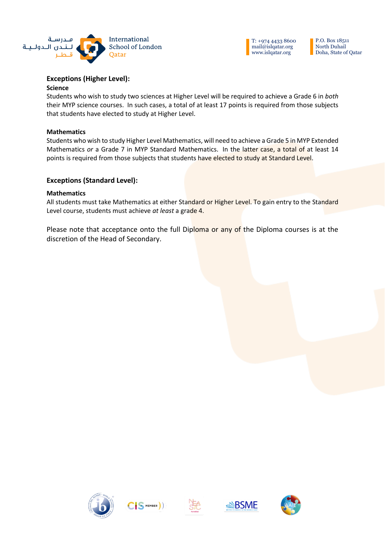

P.O. Box 18511 North Duhail Doha, State of Qatar

# **Exceptions (Higher Level):**

#### **Science**

Students who wish to study two sciences at Higher Level will be required to achieve a Grade 6 in *both* their MYP science courses. In such cases, a total of at least 17 points is required from those subjects that students have elected to study at Higher Level.

#### **Mathematics**

Students who wish to study Higher Level Mathematics, will need to achieve a Grade 5 in MYP Extended Mathematics *or* a Grade 7 in MYP Standard Mathematics. In the latter case, a total of at least 14 points is required from those subjects that students have elected to study at Standard Level.

## **Exceptions (Standard Level):**

#### **Mathematics**

All students must take Mathematics at either Standard or Higher Level. To gain entry to the Standard Level course, students must achieve *at least* a grade 4.

Please note that acceptance onto the full Diploma or any of the Diploma courses is at the discretion of the Head of Secondary.









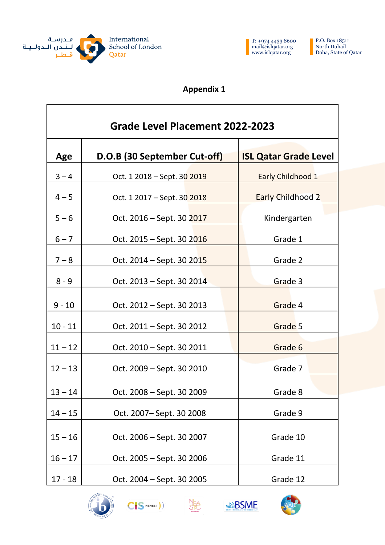

 $\Gamma$ 



P.O. Box 18511 North Duhail Doha, State of Qatar

٦

# **Appendix 1**

| Grade Level Placement 2022-2023 |                              |                              |  |  |  |  |  |  |  |  |  |
|---------------------------------|------------------------------|------------------------------|--|--|--|--|--|--|--|--|--|
| Age                             | D.O.B (30 September Cut-off) | <b>ISL Qatar Grade Level</b> |  |  |  |  |  |  |  |  |  |
| $3 - 4$                         | Oct. 1 2018 – Sept. 30 2019  | Early Childhood 1            |  |  |  |  |  |  |  |  |  |
| $4 - 5$                         | Oct. 1 2017 – Sept. 30 2018  | <b>Early Childhood 2</b>     |  |  |  |  |  |  |  |  |  |
| $5 - 6$                         | Oct. 2016 – Sept. 30 2017    | Kindergarten                 |  |  |  |  |  |  |  |  |  |
| $6 - 7$                         | Oct. 2015 – Sept. 30 2016    | Grade 1                      |  |  |  |  |  |  |  |  |  |
| $7 - 8$                         | Oct. 2014 – Sept. 30 2015    | Grade 2                      |  |  |  |  |  |  |  |  |  |
| $8 - 9$                         | Oct. 2013 – Sept. 30 2014    | Grade 3                      |  |  |  |  |  |  |  |  |  |
| $9 - 10$                        | Oct. 2012 – Sept. 30 2013    | Grade 4                      |  |  |  |  |  |  |  |  |  |
| $10 - 11$                       | Oct. 2011 – Sept. 30 2012    | Grade 5                      |  |  |  |  |  |  |  |  |  |
| $11 - 12$                       | Oct. 2010 – Sept. 30 2011    | Grade 6                      |  |  |  |  |  |  |  |  |  |
| $12 - 13$                       | Oct. 2009 – Sept. 30 2010    | Grade 7                      |  |  |  |  |  |  |  |  |  |
| $13 - 14$                       | Oct. 2008 – Sept. 30 2009    | Grade 8                      |  |  |  |  |  |  |  |  |  |
| $14 - 15$                       | Oct. 2007-Sept. 30 2008      | Grade 9                      |  |  |  |  |  |  |  |  |  |
| $15 - 16$                       | Oct. 2006 - Sept. 30 2007    | Grade 10                     |  |  |  |  |  |  |  |  |  |
| $16 - 17$                       | Oct. 2005 - Sept. 30 2006    | Grade 11                     |  |  |  |  |  |  |  |  |  |
| $17 - 18$                       | Oct. 2004 - Sept. 30 2005    | Grade 12                     |  |  |  |  |  |  |  |  |  |